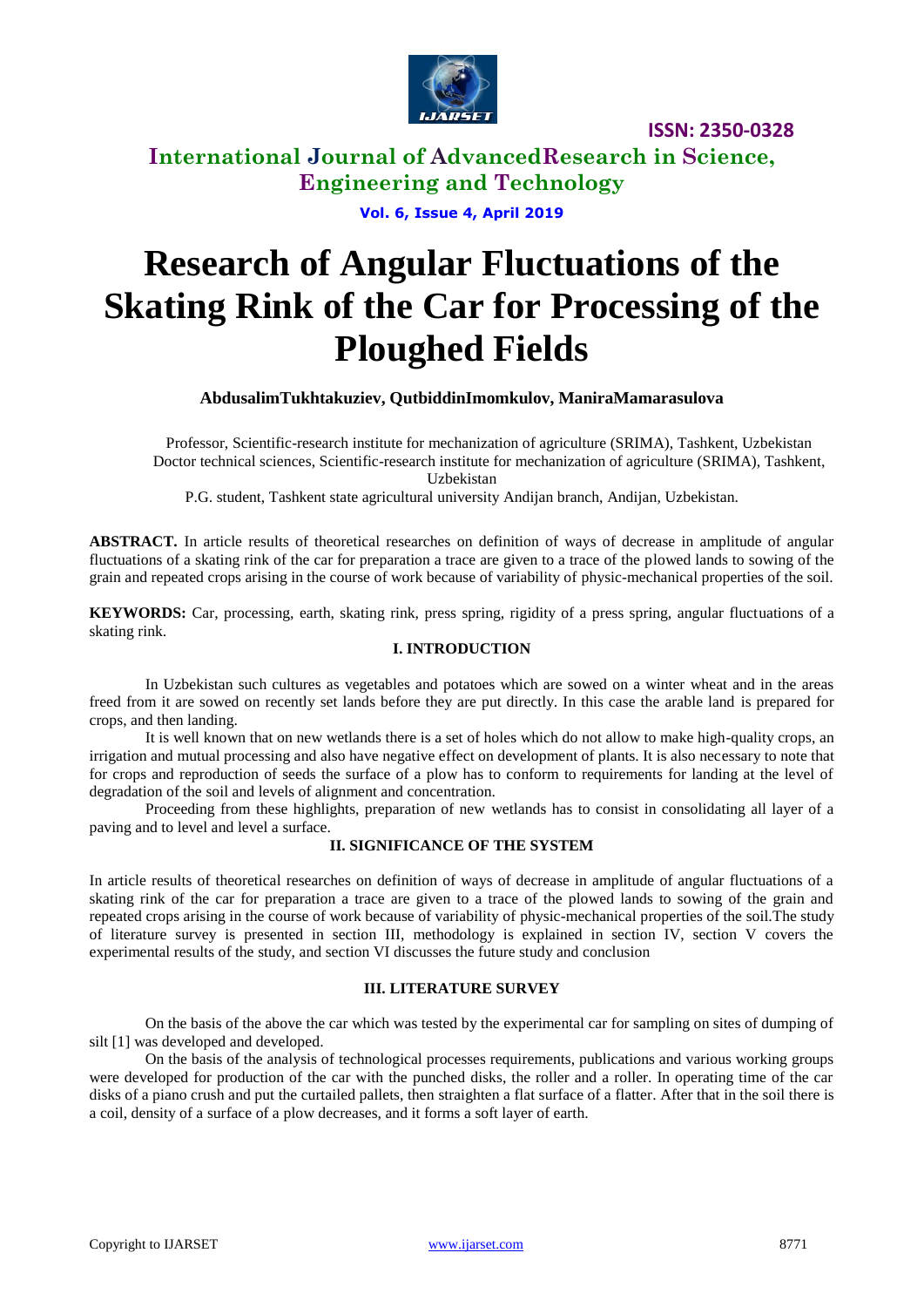

**ISSN: 2350-0328**

### **International Journal of AdvancedResearch in Science, Engineering and Technology**

**Vol. 6, Issue 4, April 2019**

# **Research of Angular Fluctuations of the Skating Rink of the Car for Processing of the Ploughed Fields**

**AbdusalimTukhtakuziev, QutbiddinImomkulov, ManiraMamarasulova**

Professor, Scientific-research institute for mechanization of agriculture (SRIMA), Tashkent, Uzbekistan Doctor technical sciences, Scientific-research institute for mechanization of agriculture (SRIMA), Tashkent, Uzbekistan

P.G. student, Tashkent state agricultural university Andijan branch, Andijan, Uzbekistan.

**ABSTRACT.** In article results of theoretical researches on definition of ways of decrease in amplitude of angular fluctuations of a skating rink of the car for preparation a trace are given to a trace of the plowed lands to sowing of the grain and repeated crops arising in the course of work because of variability of physic-mechanical properties of the soil.

**KEYWORDS:** Car, processing, earth, skating rink, press spring, rigidity of a press spring, angular fluctuations of a skating rink.

### **I. INTRODUCTION**

In Uzbekistan such cultures as vegetables and potatoes which are sowed on a winter wheat and in the areas freed from it are sowed on recently set lands before they are put directly. In this case the arable land is prepared for crops, and then landing.

It is well known that on new wetlands there is a set of holes which do not allow to make high-quality crops, an irrigation and mutual processing and also have negative effect on development of plants. It is also necessary to note that for crops and reproduction of seeds the surface of a plow has to conform to requirements for landing at the level of degradation of the soil and levels of alignment and concentration.

Proceeding from these highlights, preparation of new wetlands has to consist in consolidating all layer of a paving and to level and level a surface.

### **II. SIGNIFICANCE OF THE SYSTEM**

In article results of theoretical researches on definition of ways of decrease in amplitude of angular fluctuations of a skating rink of the car for preparation a trace are given to a trace of the plowed lands to sowing of the grain and repeated crops arising in the course of work because of variability of physic-mechanical properties of the soil.The study of literature survey is presented in section III, methodology is explained in section IV, section V covers the experimental results of the study, and section VI discusses the future study and conclusion

### **III. LITERATURE SURVEY**

On the basis of the above the car which was tested by the experimental car for sampling on sites of dumping of silt [1] was developed and developed.

On the basis of the analysis of technological processes requirements, publications and various working groups were developed for production of the car with the punched disks, the roller and a roller. In operating time of the car disks of a piano crush and put the curtailed pallets, then straighten a flat surface of a flatter. After that in the soil there is a coil, density of a surface of a plow decreases, and it forms a soft layer of earth.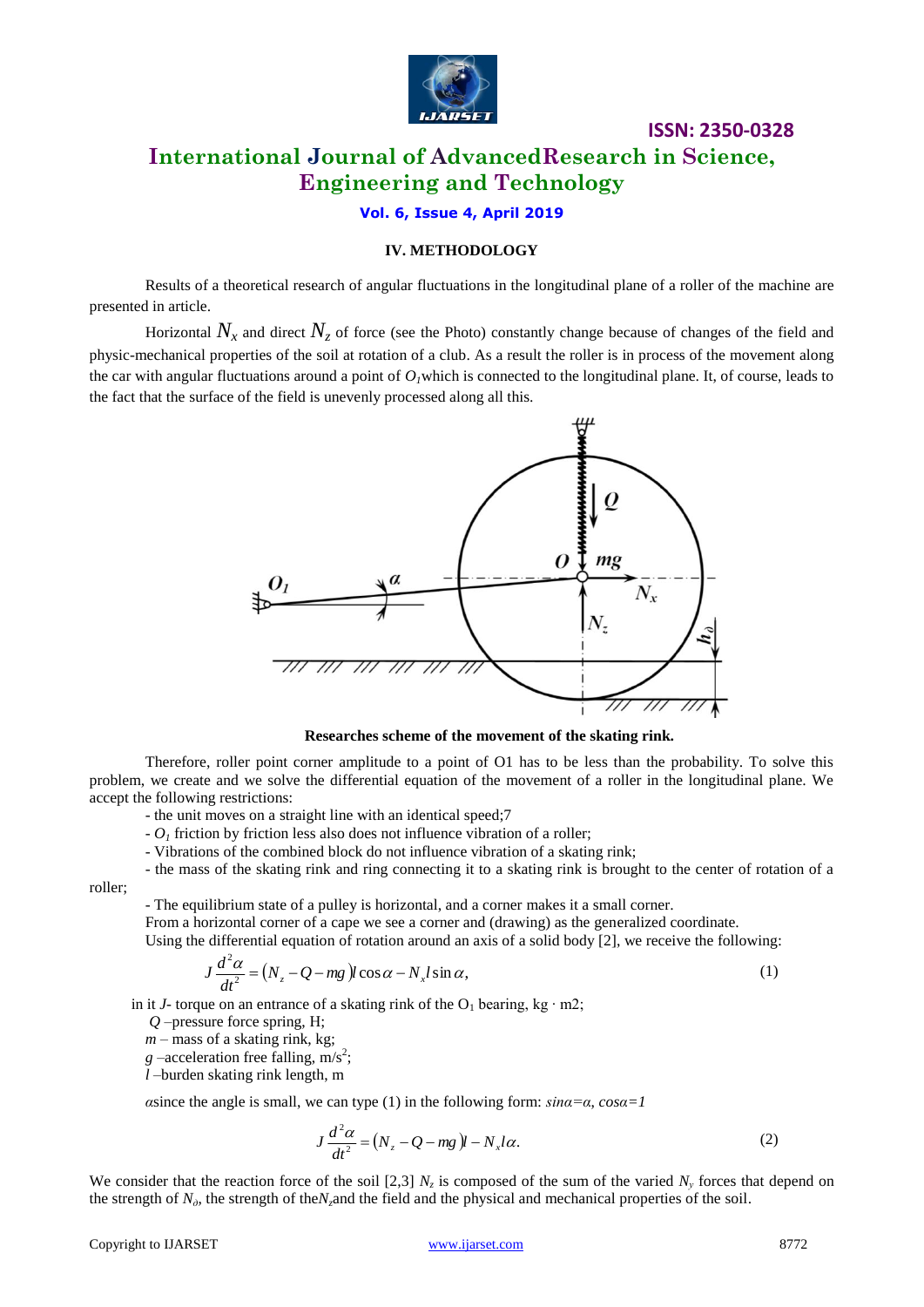

### **ISSN: 2350-0328 International Journal of AdvancedResearch in Science, Engineering and Technology**

**Vol. 6, Issue 4, April 2019**

#### **IV. METHODOLOGY**

Results of a theoretical research of angular fluctuations in the longitudinal plane of a roller of the machine are presented in article.

Horizontal  $N_x$  and direct  $N_z$  of force (see the Photo) constantly change because of changes of the field and physic-mechanical properties of the soil at rotation of a club. As a result the roller is in process of the movement along the car with angular fluctuations around a point of  $O_I$ which is connected to the longitudinal plane. It, of course, leads to the fact that the surface of the field is unevenly processed along all this.



**Researches scheme of the movement of the skating rink.**

Therefore, roller point corner amplitude to a point of O1 has to be less than the probability. To solve this problem, we create and we solve the differential equation of the movement of a roller in the longitudinal plane. We accept the following restrictions:

- the unit moves on a straight line with an identical speed;7

- *O<sup>1</sup>* friction by friction less also does not influence vibration of a roller;

- Vibrations of the combined block do not influence vibration of a skating rink;

- the mass of the skating rink and ring connecting it to a skating rink is brought to the center of rotation of a roller;

- The equilibrium state of a pulley is horizontal, and a corner makes it a small corner.

From a horizontal corner of a cape we see a corner and (drawing) as the generalized coordinate.

Using the differential equation of rotation around an axis of a solid body [2], we receive the following:

$$
J\frac{d^2\alpha}{dt^2} = (N_z - Q - mg)l\cos\alpha - N_x l\sin\alpha, \qquad (1)
$$

in it *J*- torque on an entrance of a skating rink of the  $O_1$  bearing, kg ⋅ m2;

*Q* –pressure force spring, Н;

*m* – mass of a skating rink, kg;

 $g$  –acceleration free falling, m/s<sup>2</sup>;

*l* –burden skating rink length, m

*α*since the angle is small, we can type (1) in the following form: *sinα=α*, *cosα=1*

$$
J\frac{d^2\alpha}{dt^2} = (N_z - Q - mg)l - N_x l\alpha.
$$
 (2)

We consider that the reaction force of the soil [2,3]  $N_z$  is composed of the sum of the varied  $N_y$  forces that depend on the strength of *Nд*, the strength of the*Nz*and the field and the physical and mechanical properties of the soil.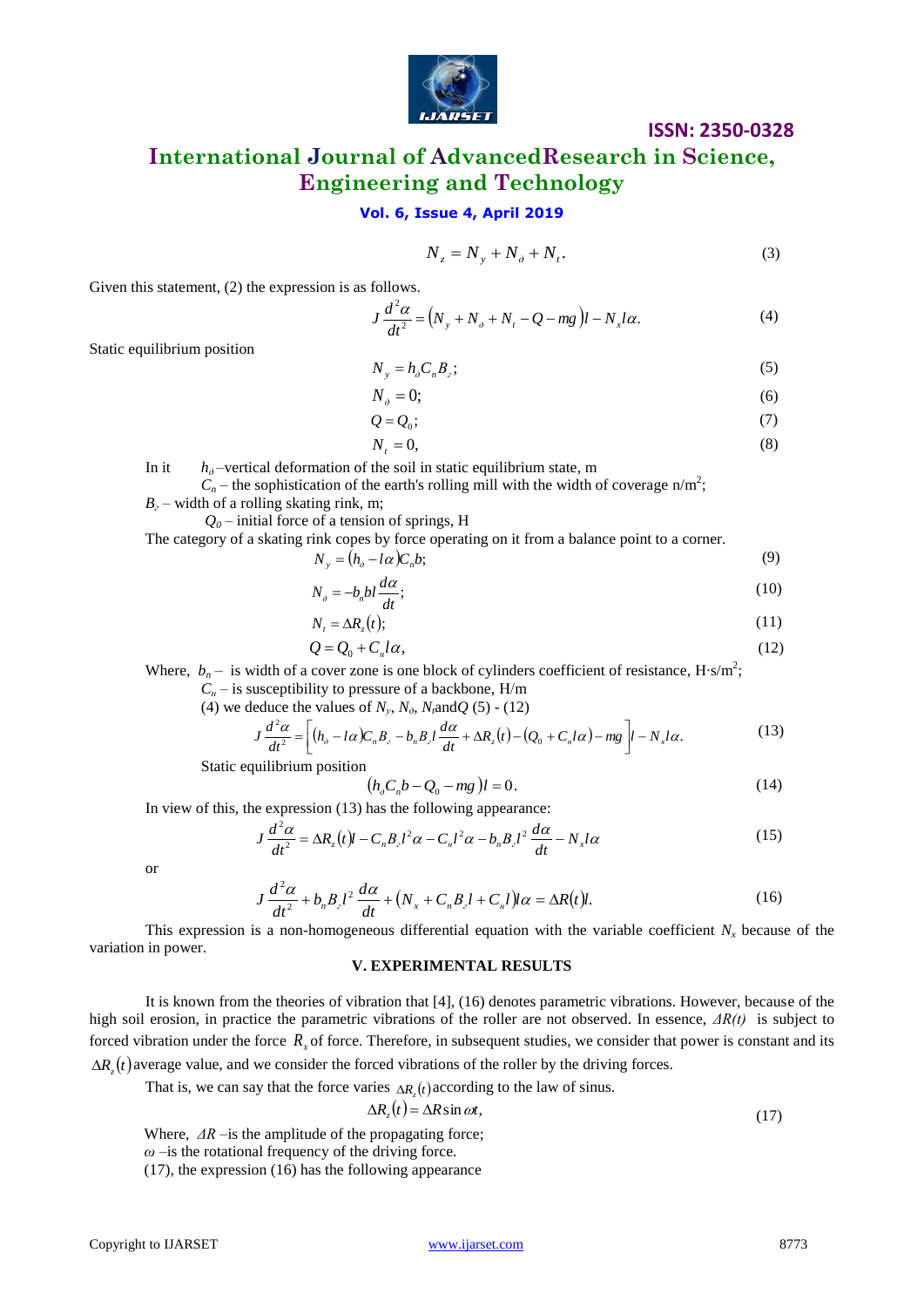

### **ISSN: 2350-0328**

## **International Journal of AdvancedResearch in Science, Engineering and Technology**

### **Vol. 6, Issue 4, April 2019**

$$
N_z = N_y + N_\partial + N_t. \tag{3}
$$

Given this statement, (2) the expression is as follows.

$$
J\frac{d^2\alpha}{dt^2} = \left(N_y + N_\partial + N_t - Q - mg\right)l - N_x l\alpha.
$$
 (4)

Static equilibrium position

$$
N_{y} = h_{\partial} C_{n} B_{z};\tag{5}
$$

$$
N_{\partial} = 0; \tag{6}
$$

$$
Q = Q_0; \tag{7}
$$

$$
N_t = 0,\t\t(8)
$$

In it  $h_{\theta}$  –vertical deformation of the soil in static equilibrium state, m

 $C_n$  – the sophistication of the earth's rolling mill with the width of coverage n/m<sup>2</sup>;

 $B_2$  – width of a rolling skating rink, m;

 $Q_0$  – initial force of a tension of springs, H The category of a skating rink copes by force operating on it from a balance point to a corner.

$$
N_y = (h_o - I\alpha)C_n b;
$$
 (9)

$$
N_{\rho} = -b_n b l \frac{d\alpha}{dt};
$$
\n(10)

$$
N_o = -b_n b l \frac{d\alpha}{dt};\tag{10}
$$

$$
N_t = \Delta R_z(t); \tag{11}
$$

$$
Q = Q_0 + C_u l \alpha, \tag{12}
$$

Where,  $b_n$  – is width of a cover zone is one block of cylinders coefficient of resistance, H⋅s/m<sup>2</sup>;

 $C<sub>u</sub>$  – is susceptibility to pressure of a backbone, H/m

(4) we deduce the values of  $N_y$ ,  $N_\partial$ ,  $N_\partial$  and  $Q$  (5) - (12)

$$
J\frac{d^2\alpha}{dt^2} = \left[ (h_o - l\alpha)C_n B_z - b_n B_z l\frac{d\alpha}{dt} + \Delta R_z(t) - (Q_0 + C_n l\alpha) - mg \right]l - N_x l\alpha.
$$
 (13)

Static equilibrium position

$$
(h_o C_n b - Q_0 - mg)l = 0.
$$
 (14)

In view of this, the expression (13) has the following appearance:

$$
J\frac{d^2\alpha}{dt^2} = \Delta R_z(t)l - C_nB_zl^2\alpha - C_u l^2\alpha - b_nB_zl^2\frac{d\alpha}{dt} - N_x l\alpha
$$
 (15)

or

$$
J\frac{d^2\alpha}{dt^2} + b_n B_z l^2 \frac{d\alpha}{dt} + \left(N_x + C_n B_z l + C_u l\right) l\alpha = \Delta R(t) l. \tag{16}
$$

This expression is a non-homogeneous differential equation with the variable coefficient  $N<sub>x</sub>$  because of the variation in power.

### **V. EXPERIMENTAL RESULTS**

It is known from the theories of vibration that [4], (16) denotes parametric vibrations. However, because of the high soil erosion, in practice the parametric vibrations of the roller are not observed. In essence, *ΔR(t)* is subject to forced vibration under the force  $R_x$  of force. Therefore, in subsequent studies, we consider that power is constant and its

 $\Delta R_z(t)$  average value, and we consider the forced vibrations of the roller by the driving forces.

That is, we can say that the force varies 
$$
\Delta R_z(t)
$$
 according to the law of sinus.

$$
\Delta R_z(t) = \Delta R \sin \omega t, \tag{17}
$$

Where,  $\Delta R$  –is the amplitude of the propagating force;

(17), the expression (16) has the following appearance

 $\omega$  –is the rotational frequency of the driving force.